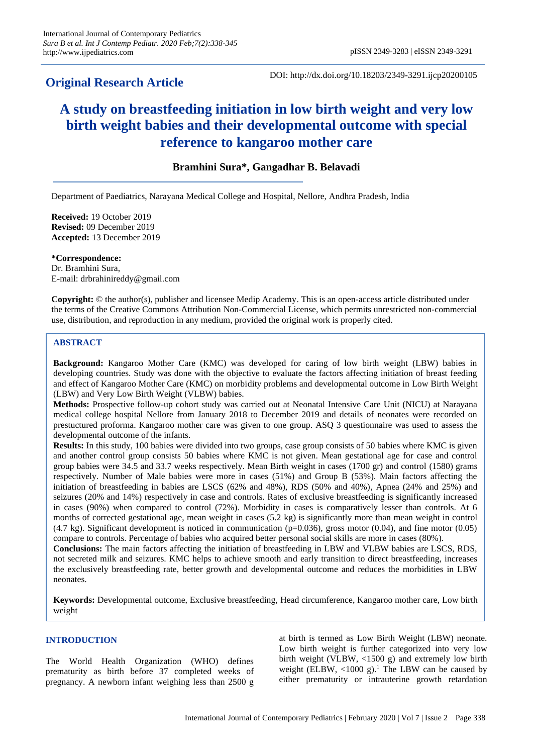## **Original Research Article**

DOI: http://dx.doi.org/10.18203/2349-3291.ijcp20200105

# **A study on breastfeeding initiation in low birth weight and very low birth weight babies and their developmental outcome with special reference to kangaroo mother care**

## **Bramhini Sura\*, Gangadhar B. Belavadi**

Department of Paediatrics, Narayana Medical College and Hospital, Nellore, Andhra Pradesh, India

**Received:** 19 October 2019 **Revised:** 09 December 2019 **Accepted:** 13 December 2019

**\*Correspondence:** Dr. Bramhini Sura, E-mail: drbrahinireddy@gmail.com

**Copyright:** © the author(s), publisher and licensee Medip Academy. This is an open-access article distributed under the terms of the Creative Commons Attribution Non-Commercial License, which permits unrestricted non-commercial use, distribution, and reproduction in any medium, provided the original work is properly cited.

## **ABSTRACT**

**Background:** Kangaroo Mother Care (KMC) was developed for caring of low birth weight (LBW) babies in developing countries. Study was done with the objective to evaluate the factors affecting initiation of breast feeding and effect of Kangaroo Mother Care (KMC) on morbidity problems and developmental outcome in Low Birth Weight (LBW) and Very Low Birth Weight (VLBW) babies.

**Methods:** Prospective follow-up cohort study was carried out at Neonatal Intensive Care Unit (NICU) at Narayana medical college hospital Nellore from January 2018 to December 2019 and details of neonates were recorded on prestuctured proforma. Kangaroo mother care was given to one group. ASQ 3 questionnaire was used to assess the developmental outcome of the infants.

**Results:** In this study, 100 babies were divided into two groups, case group consists of 50 babies where KMC is given and another control group consists 50 babies where KMC is not given. Mean gestational age for case and control group babies were 34.5 and 33.7 weeks respectively. Mean Birth weight in cases (1700 gr) and control (1580) grams respectively. Number of Male babies were more in cases (51%) and Group B (53%). Main factors affecting the initiation of breastfeeding in babies are LSCS (62% and 48%), RDS (50% and 40%), Apnea (24% and 25%) and seizures (20% and 14%) respectively in case and controls. Rates of exclusive breastfeeding is significantly increased in cases (90%) when compared to control (72%). Morbidity in cases is comparatively lesser than controls. At 6 months of corrected gestational age, mean weight in cases (5.2 kg) is significantly more than mean weight in control  $(4.7 \text{ kg})$ . Significant development is noticed in communication (p=0.036), gross motor  $(0.04)$ , and fine motor  $(0.05)$ compare to controls. Percentage of babies who acquired better personal social skills are more in cases (80%).

**Conclusions:** The main factors affecting the initiation of breastfeeding in LBW and VLBW babies are LSCS, RDS, not secreted milk and seizures. KMC helps to achieve smooth and early transition to direct breastfeeding, increases the exclusively breastfeeding rate, better growth and developmental outcome and reduces the morbidities in LBW neonates.

**Keywords:** Developmental outcome, Exclusive breastfeeding, Head circumference, Kangaroo mother care, Low birth weight

#### **INTRODUCTION**

The World Health Organization (WHO) defines prematurity as birth before 37 completed weeks of pregnancy. A newborn infant weighing less than 2500 g at birth is termed as Low Birth Weight (LBW) neonate. Low birth weight is further categorized into very low birth weight (VLBW, <1500 g) and extremely low birth weight (ELBW,  $\langle 1000 \text{ g} \rangle$ .<sup>1</sup> The LBW can be caused by either prematurity or intrauterine growth retardation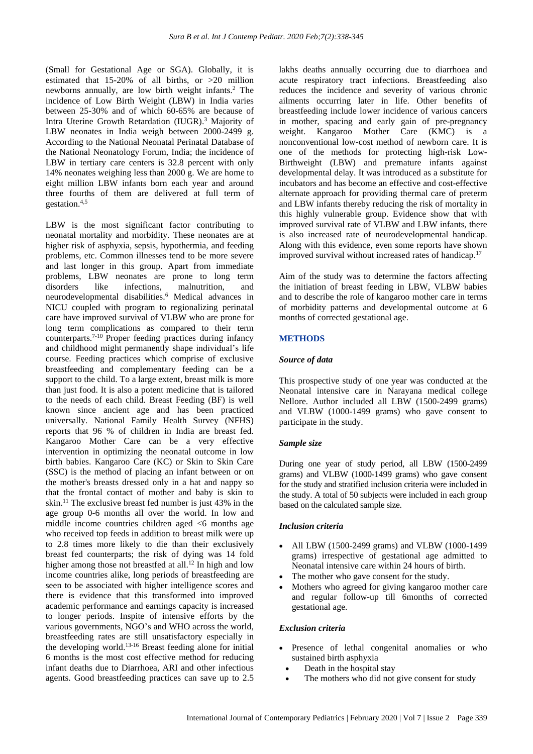(Small for Gestational Age or SGA). Globally, it is estimated that 15-20% of all births, or >20 million newborns annually, are low birth weight infants. <sup>2</sup> The incidence of Low Birth Weight (LBW) in India varies between 25-30% and of which 60-65% are because of Intra Uterine Growth Retardation (IUGR). <sup>3</sup> Majority of LBW neonates in India weigh between 2000-2499 g. According to the National Neonatal Perinatal Database of the National Neonatology Forum, India; the incidence of LBW in tertiary care centers is 32.8 percent with only 14% neonates weighing less than 2000 g. We are home to eight million LBW infants born each year and around three fourths of them are delivered at full term of gestation.4,5

LBW is the most significant factor contributing to neonatal mortality and morbidity. These neonates are at higher risk of asphyxia, sepsis, hypothermia, and feeding problems, etc. Common illnesses tend to be more severe and last longer in this group. Apart from immediate problems, LBW neonates are prone to long term disorders like infections, malnutrition, and neurodevelopmental disabilities. <sup>6</sup> Medical advances in NICU coupled with program to regionalizing perinatal care have improved survival of VLBW who are prone for long term complications as compared to their term counterparts. 7-10 Proper feeding practices during infancy and childhood might permanently shape individual's life course. Feeding practices which comprise of exclusive breastfeeding and complementary feeding can be a support to the child. To a large extent, breast milk is more than just food. It is also a potent medicine that is tailored to the needs of each child. Breast Feeding (BF) is well known since ancient age and has been practiced universally. National Family Health Survey (NFHS) reports that 96 % of children in India are breast fed. Kangaroo Mother Care can be a very effective intervention in optimizing the neonatal outcome in low birth babies. Kangaroo Care (KC) or Skin to Skin Care (SSC) is the method of placing an infant between or on the mother's breasts dressed only in a hat and nappy so that the frontal contact of mother and baby is skin to skin.<sup>11</sup> The exclusive breast fed number is just 43% in the age group 0-6 months all over the world. In low and middle income countries children aged <6 months age who received top feeds in addition to breast milk were up to 2.8 times more likely to die than their exclusively breast fed counterparts; the risk of dying was 14 fold higher among those not breastfed at all.<sup>12</sup> In high and low income countries alike, long periods of breastfeeding are seen to be associated with higher intelligence scores and there is evidence that this transformed into improved academic performance and earnings capacity is increased to longer periods. Inspite of intensive efforts by the various governments, NGO's and WHO across the world, breastfeeding rates are still unsatisfactory especially in the developing world. 13-16 Breast feeding alone for initial 6 months is the most cost effective method for reducing infant deaths due to Diarrhoea, ARI and other infectious agents. Good breastfeeding practices can save up to 2.5

lakhs deaths annually occurring due to diarrhoea and acute respiratory tract infections. Breastfeeding also reduces the incidence and severity of various chronic ailments occurring later in life. Other benefits of breastfeeding include lower incidence of various cancers in mother, spacing and early gain of pre-pregnancy weight. Kangaroo Mother Care (KMC) is a nonconventional low-cost method of newborn care. It is one of the methods for protecting high-risk Low-Birthweight (LBW) and premature infants against developmental delay. It was introduced as a substitute for incubators and has become an effective and cost-effective alternate approach for providing thermal care of preterm and LBW infants thereby reducing the risk of mortality in this highly vulnerable group. Evidence show that with improved survival rate of VLBW and LBW infants, there is also increased rate of neurodevelopmental handicap. Along with this evidence, even some reports have shown improved survival without increased rates of handicap. 17

Aim of the study was to determine the factors affecting the initiation of breast feeding in LBW, VLBW babies and to describe the role of kangaroo mother care in terms of morbidity patterns and developmental outcome at 6 months of corrected gestational age.

#### **METHODS**

#### *Source of data*

This prospective study of one year was conducted at the Neonatal intensive care in Narayana medical college Nellore. Author included all LBW (1500-2499 grams) and VLBW (1000-1499 grams) who gave consent to participate in the study.

#### *Sample size*

During one year of study period, all LBW (1500-2499 grams) and VLBW (1000-1499 grams) who gave consent for the study and stratified inclusion criteria were included in the study. A total of 50 subjects were included in each group based on the calculated sample size.

#### *Inclusion criteria*

- All LBW (1500-2499 grams) and VLBW (1000-1499 grams) irrespective of gestational age admitted to Neonatal intensive care within 24 hours of birth.
- The mother who gave consent for the study.
- Mothers who agreed for giving kangaroo mother care and regular follow-up till 6months of corrected gestational age.

#### *Exclusion criteria*

- Presence of lethal congenital anomalies or who sustained birth asphyxia
	- Death in the hospital stay
	- The mothers who did not give consent for study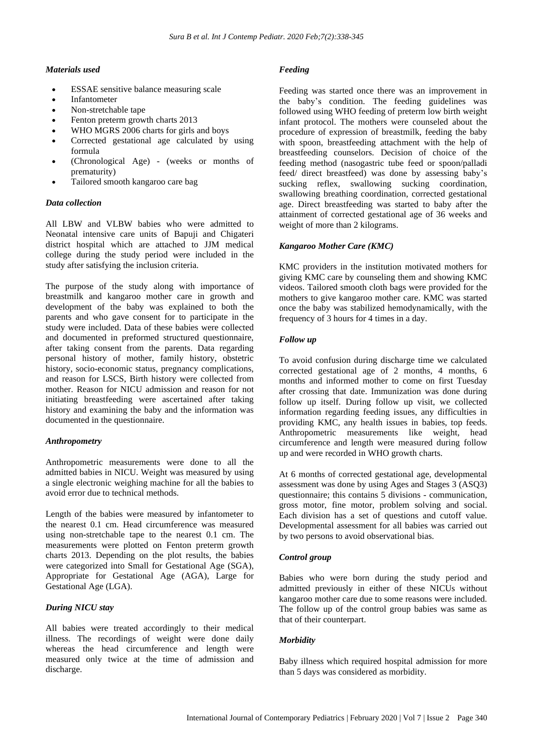## *Materials used*

- ESSAE sensitive balance measuring scale
- **Infantometer**
- Non-stretchable tape
- Fenton preterm growth charts 2013
- WHO MGRS 2006 charts for girls and boys
- Corrected gestational age calculated by using formula
- (Chronological Age) (weeks or months of prematurity)
- Tailored smooth kangaroo care bag

#### *Data collection*

All LBW and VLBW babies who were admitted to Neonatal intensive care units of Bapuji and Chigateri district hospital which are attached to JJM medical college during the study period were included in the study after satisfying the inclusion criteria.

The purpose of the study along with importance of breastmilk and kangaroo mother care in growth and development of the baby was explained to both the parents and who gave consent for to participate in the study were included. Data of these babies were collected and documented in preformed structured questionnaire, after taking consent from the parents. Data regarding personal history of mother, family history, obstetric history, socio-economic status, pregnancy complications, and reason for LSCS, Birth history were collected from mother. Reason for NICU admission and reason for not initiating breastfeeding were ascertained after taking history and examining the baby and the information was documented in the questionnaire.

## *Anthropometry*

Anthropometric measurements were done to all the admitted babies in NICU. Weight was measured by using a single electronic weighing machine for all the babies to avoid error due to technical methods.

Length of the babies were measured by infantometer to the nearest 0.1 cm. Head circumference was measured using non-stretchable tape to the nearest 0.1 cm. The measurements were plotted on Fenton preterm growth charts 2013. Depending on the plot results, the babies were categorized into Small for Gestational Age (SGA), Appropriate for Gestational Age (AGA), Large for Gestational Age (LGA).

## *During NICU stay*

All babies were treated accordingly to their medical illness. The recordings of weight were done daily whereas the head circumference and length were measured only twice at the time of admission and discharge.

## *Feeding*

Feeding was started once there was an improvement in the baby's condition. The feeding guidelines was followed using WHO feeding of preterm low birth weight infant protocol. The mothers were counseled about the procedure of expression of breastmilk, feeding the baby with spoon, breastfeeding attachment with the help of breastfeeding counselors. Decision of choice of the feeding method (nasogastric tube feed or spoon/palladi feed/ direct breastfeed) was done by assessing baby's sucking reflex, swallowing sucking coordination, swallowing breathing coordination, corrected gestational age. Direct breastfeeding was started to baby after the attainment of corrected gestational age of 36 weeks and weight of more than 2 kilograms.

#### *Kangaroo Mother Care (KMC)*

KMC providers in the institution motivated mothers for giving KMC care by counseling them and showing KMC videos. Tailored smooth cloth bags were provided for the mothers to give kangaroo mother care. KMC was started once the baby was stabilized hemodynamically, with the frequency of 3 hours for 4 times in a day.

## *Follow up*

To avoid confusion during discharge time we calculated corrected gestational age of 2 months, 4 months, 6 months and informed mother to come on first Tuesday after crossing that date. Immunization was done during follow up itself. During follow up visit, we collected information regarding feeding issues, any difficulties in providing KMC, any health issues in babies, top feeds. Anthropometric measurements like weight, head circumference and length were measured during follow up and were recorded in WHO growth charts.

At 6 months of corrected gestational age, developmental assessment was done by using Ages and Stages 3 (ASQ3) questionnaire; this contains 5 divisions - communication, gross motor, fine motor, problem solving and social. Each division has a set of questions and cutoff value. Developmental assessment for all babies was carried out by two persons to avoid observational bias.

## *Control group*

Babies who were born during the study period and admitted previously in either of these NICUs without kangaroo mother care due to some reasons were included. The follow up of the control group babies was same as that of their counterpart.

## *Morbidity*

Baby illness which required hospital admission for more than 5 days was considered as morbidity.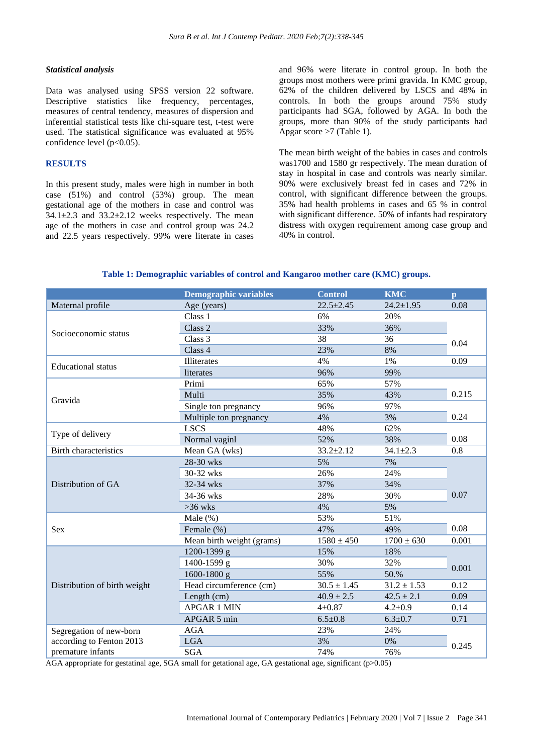#### *Statistical analysis*

Data was analysed using SPSS version 22 software. Descriptive statistics like frequency, percentages, measures of central tendency, measures of dispersion and inferential statistical tests like chi-square test, t-test were used. The statistical significance was evaluated at 95% confidence level  $(p<0.05)$ .

## **RESULTS**

In this present study, males were high in number in both case (51%) and control (53%) group. The mean gestational age of the mothers in case and control was  $34.1\pm2.3$  and  $33.2\pm2.12$  weeks respectively. The mean age of the mothers in case and control group was 24.2 and 22.5 years respectively. 99% were literate in cases

and 96% were literate in control group. In both the groups most mothers were primi gravida. In KMC group, 62% of the children delivered by LSCS and 48% in controls. In both the groups around 75% study participants had SGA, followed by AGA. In both the groups, more than 90% of the study participants had Apgar score >7 (Table 1).

The mean birth weight of the babies in cases and controls was1700 and 1580 gr respectively. The mean duration of stay in hospital in case and controls was nearly similar. 90% were exclusively breast fed in cases and 72% in control, with significant difference between the groups. 35% had health problems in cases and 65 % in control with significant difference. 50% of infants had respiratory distress with oxygen requirement among case group and 40% in control.

#### **Table 1: Demographic variables of control and Kangaroo mother care (KMC) groups.**

|                              | <b>Demographic variables</b> | <b>Control</b>  | <b>KMC</b>      | $\mathbf{p}$ |  |
|------------------------------|------------------------------|-----------------|-----------------|--------------|--|
| Maternal profile             | Age (years)                  | $22.5 \pm 2.45$ | $24.2 \pm 1.95$ | 0.08         |  |
| Socioeconomic status         | Class 1                      | 6%              | 20%             |              |  |
|                              | Class 2                      | 33%             | 36%             |              |  |
|                              | Class 3                      | 38              | 36              | 0.04         |  |
|                              | Class 4                      | 23%             | 8%              |              |  |
| <b>Educational</b> status    | Illiterates                  | 4%              | 1%              | 0.09         |  |
|                              | literates                    | 96%             | 99%             |              |  |
|                              | Primi                        | 65%             | 57%             |              |  |
|                              | Multi                        | 35%             | 43%             | 0.215        |  |
| Gravida                      | Single ton pregnancy         | 96%             | 97%             |              |  |
|                              | Multiple ton pregnancy       | 4%              | 3%              | 0.24         |  |
|                              | <b>LSCS</b>                  | 48%             | 62%             |              |  |
| Type of delivery             | Normal vaginl                | 52%             | 38%             | 0.08         |  |
| <b>Birth characteristics</b> | Mean GA (wks)                | $33.2 \pm 2.12$ | $34.1 \pm 2.3$  | 0.8          |  |
|                              | 28-30 wks                    | 5%              | 7%              |              |  |
|                              | 30-32 wks                    | 26%             | 24%             |              |  |
| Distribution of GA           | 32-34 wks                    | 37%             | 34%             |              |  |
|                              | 34-36 wks                    | 28%             | 30%             | 0.07         |  |
|                              | $>36$ wks                    | 4%              | 5%              |              |  |
| <b>Sex</b>                   | Male $(\%)$                  | 53%             | 51%             |              |  |
|                              | Female (%)                   | 47%             | 49%             | 0.08         |  |
|                              | Mean birth weight (grams)    | $1580 \pm 450$  | $1700 \pm 630$  | 0.001        |  |
| Distribution of birth weight | 1200-1399 g                  | 15%             | 18%             |              |  |
|                              | 1400-1599 g                  | 30%             | 32%             | 0.001        |  |
|                              | $1600 - 1800$ g              | 55%             | 50.%            |              |  |
|                              | Head circumference (cm)      | $30.5 \pm 1.45$ | $31.2 \pm 1.53$ | 0.12         |  |
|                              | Length (cm)                  | $40.9 \pm 2.5$  | $42.5 \pm 2.1$  | 0.09         |  |
|                              | <b>APGAR 1 MIN</b>           | $4 + 0.87$      | $4.2 \pm 0.9$   | 0.14         |  |
|                              | APGAR 5 min                  | $6.5 \pm 0.8$   | $6.3 \pm 0.7$   | 0.71         |  |
| Segregation of new-born      | <b>AGA</b>                   | 23%             | 24%             |              |  |
| according to Fenton 2013     | <b>LGA</b>                   | 3%              | $0\%$           | 0.245        |  |
| premature infants            | <b>SGA</b>                   | 74%             | 76%             |              |  |
|                              |                              |                 |                 |              |  |

AGA appropriate for gestatinal age, SGA small for getational age, GA gestational age, significant  $(p>0.05)$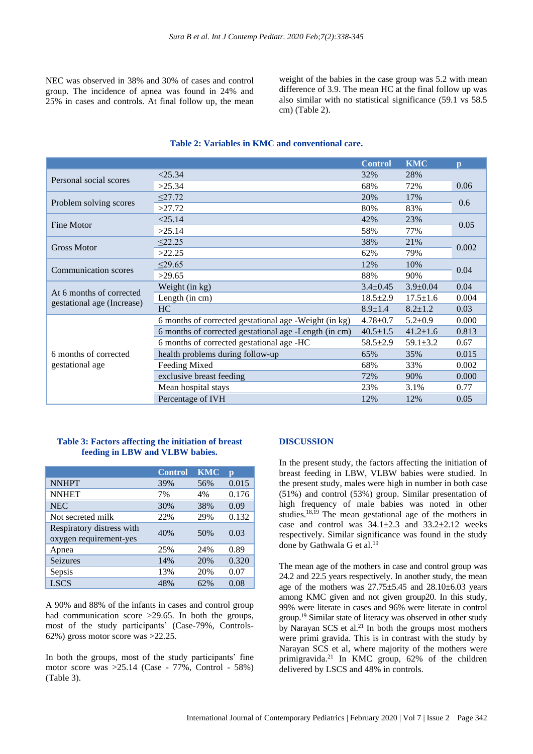NEC was observed in 38% and 30% of cases and control group. The incidence of apnea was found in 24% and 25% in cases and controls. At final follow up, the mean weight of the babies in the case group was 5.2 with mean difference of 3.9. The mean HC at the final follow up was also similar with no statistical significance (59.1 vs 58.5 cm) (Table 2).

|                                                        |                                                       | <b>Control</b> | <b>KMC</b>     | $\mathbf{p}$ |  |
|--------------------------------------------------------|-------------------------------------------------------|----------------|----------------|--------------|--|
| Personal social scores                                 | < 25.34                                               | 32%            | 28%            |              |  |
|                                                        | >25.34                                                | 68%            | 72%            | 0.06         |  |
| Problem solving scores                                 | $\leq$ 27.72                                          | 20%            | 17%            | 0.6          |  |
|                                                        | >27.72                                                | 80%            | 83%            |              |  |
| Fine Motor                                             | < 25.14                                               | 42%            | 23%            | 0.05         |  |
|                                                        | >25.14                                                | 58%            | 77%            |              |  |
| <b>Gross Motor</b>                                     | $\leq$ 22.25                                          | 38%            | 21%            | 0.002        |  |
|                                                        | >22.25                                                | 62%            | 79%            |              |  |
| <b>Communication</b> scores                            | $\leq$ 29.65                                          | 12%            | 10%            | 0.04         |  |
|                                                        | >29.65                                                | 88%            | 90%            |              |  |
| At 6 months of corrected<br>gestational age (Increase) | Weight (in kg)                                        | $3.4 \pm 0.45$ | $3.9 \pm 0.04$ | 0.04         |  |
|                                                        | Length (in cm)                                        | $18.5 \pm 2.9$ | $17.5 \pm 1.6$ | 0.004        |  |
|                                                        | <b>HC</b>                                             | $8.9 \pm 1.4$  | $8.2 \pm 1.2$  | 0.03         |  |
| 6 months of corrected<br>gestational age               | 6 months of corrected gestational age -Weight (in kg) | $4.78 \pm 0.7$ | $5.2 \pm 0.9$  | 0.000        |  |
|                                                        | 6 months of corrected gestational age -Length (in cm) | $40.5 \pm 1.5$ | $41.2 \pm 1.6$ | 0.813        |  |
|                                                        | 6 months of corrected gestational age -HC             | $58.5 \pm 2.9$ | $59.1 \pm 3.2$ | 0.67         |  |
|                                                        | health problems during follow-up                      | 65%            | 35%            | 0.015        |  |
|                                                        | Feeding Mixed                                         | 68%            | 33%            | 0.002        |  |
|                                                        | exclusive breast feeding                              | 72%            | 90%            | 0.000        |  |
|                                                        | Mean hospital stays                                   | 23%            | 3.1%           | 0.77         |  |
|                                                        | Percentage of IVH                                     | 12%            | 12%            | 0.05         |  |

## **Table 2: Variables in KMC and conventional care.**

#### **Table 3: Factors affecting the initiation of breast feeding in LBW and VLBW babies.**

|                                                     | <b>Control</b> | <b>KMC</b> | p     |
|-----------------------------------------------------|----------------|------------|-------|
| <b>NNHPT</b>                                        | 39%            | 56%        | 0.015 |
| <b>NNHET</b>                                        | 7%             | 4%         | 0.176 |
| <b>NEC</b>                                          | 30%            | 38%        | 0.09  |
| Not secreted milk                                   | 22%            | 29%        | 0.132 |
| Respiratory distress with<br>oxygen requirement-yes | 40%            | 50%        | 0.03  |
| Apnea                                               | 25%            | 24%        | 0.89  |
| <b>Seizures</b>                                     | 14%            | 20%        | 0.320 |
| Sepsis                                              | 13%            | 20%        | 0.07  |
| <b>LSCS</b>                                         | 48%            | 62%        | 0.08  |

A 90% and 88% of the infants in cases and control group had communication score > 29.65. In both the groups, most of the study participants' (Case-79%, Controls-62%) gross motor score was >22.25.

In both the groups, most of the study participants' fine motor score was >25.14 (Case - 77%, Control - 58%) (Table 3).

#### **DISCUSSION**

In the present study, the factors affecting the initiation of breast feeding in LBW, VLBW babies were studied. In the present study, males were high in number in both case (51%) and control (53%) group. Similar presentation of high frequency of male babies was noted in other studies. 18,19 The mean gestational age of the mothers in case and control was  $34.1 \pm 2.3$  and  $33.2 \pm 2.12$  weeks respectively. Similar significance was found in the study done by Gathwala G et al. 19

The mean age of the mothers in case and control group was 24.2 and 22.5 years respectively. In another study, the mean age of the mothers was  $27.75\pm5.45$  and  $28.10\pm6.03$  years among KMC given and not given group20. In this study, 99% were literate in cases and 96% were literate in control group.<sup>19</sup> Similar state of literacy was observed in other study by Narayan SCS et al. <sup>21</sup> In both the groups most mothers were primi gravida. This is in contrast with the study by Narayan SCS et al, where majority of the mothers were primigravida.<sup>21</sup> In KMC group, 62% of the children delivered by LSCS and 48% in controls.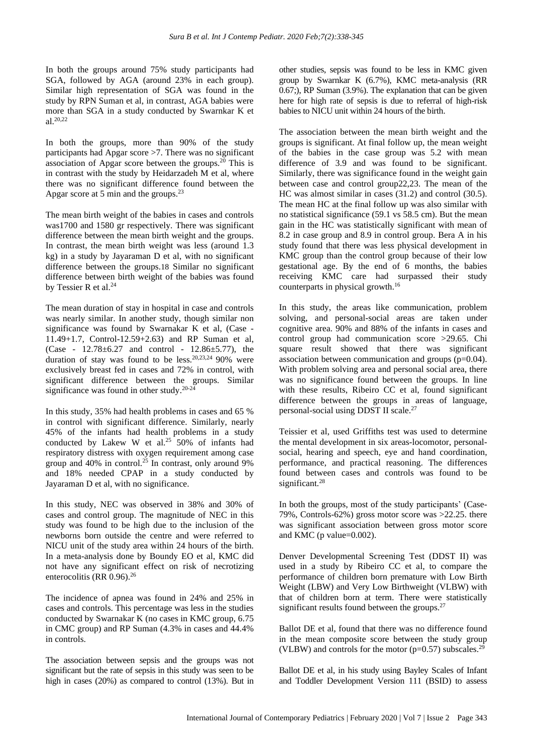In both the groups around 75% study participants had SGA, followed by AGA (around 23% in each group). Similar high representation of SGA was found in the study by RPN Suman et al, in contrast, AGA babies were more than SGA in a study conducted by Swarnkar K et al. 20,22

In both the groups, more than 90% of the study participants had Apgar score >7. There was no significant association of Apgar score between the groups.<sup>20</sup> This is in contrast with the study by Heidarzadeh M et al, where there was no significant difference found between the Apgar score at 5 min and the groups.<sup>23</sup>

The mean birth weight of the babies in cases and controls was1700 and 1580 gr respectively. There was significant difference between the mean birth weight and the groups. In contrast, the mean birth weight was less (around 1.3 kg) in a study by Jayaraman D et al, with no significant difference between the groups.18 Similar no significant difference between birth weight of the babies was found by Tessier R et al.<sup>24</sup>

The mean duration of stay in hospital in case and controls was nearly similar. In another study, though similar non significance was found by Swarnakar K et al, (Case - 11.49+1.7, Control-12.59+2.63) and RP Suman et al,  $(Case - 12.78 + 6.27$  and control -  $12.86 + 5.77$ ), the duration of stay was found to be less.<sup>20,23,24</sup> 90% were exclusively breast fed in cases and 72% in control, with significant difference between the groups. Similar significance was found in other study. 20-24

In this study, 35% had health problems in cases and 65 % in control with significant difference. Similarly, nearly 45% of the infants had health problems in a study conducted by Lakew W et al.<sup>25</sup> 50% of infants had respiratory distress with oxygen requirement among case group and 40% in control.<sup>25</sup> In contrast, only around 9% and 18% needed CPAP in a study conducted by Jayaraman D et al, with no significance.

In this study, NEC was observed in 38% and 30% of cases and control group. The magnitude of NEC in this study was found to be high due to the inclusion of the newborns born outside the centre and were referred to NICU unit of the study area within 24 hours of the birth. In a meta-analysis done by Boundy EO et al, KMC did not have any significant effect on risk of necrotizing enterocolitis (RR 0.96).<sup>26</sup>

The incidence of apnea was found in 24% and 25% in cases and controls. This percentage was less in the studies conducted by Swarnakar K (no cases in KMC group, 6.75 in CMC group) and RP Suman (4.3% in cases and 44.4% in controls.

The association between sepsis and the groups was not significant but the rate of sepsis in this study was seen to be high in cases (20%) as compared to control (13%). But in other studies, sepsis was found to be less in KMC given group by Swarnkar K (6.7%), KMC meta-analysis (RR 0.67;), RP Suman (3.9%). The explanation that can be given here for high rate of sepsis is due to referral of high-risk babies to NICU unit within 24 hours of the birth.

The association between the mean birth weight and the groups is significant. At final follow up, the mean weight of the babies in the case group was 5.2 with mean difference of 3.9 and was found to be significant. Similarly, there was significance found in the weight gain between case and control group22,23. The mean of the HC was almost similar in cases (31.2) and control (30.5). The mean HC at the final follow up was also similar with no statistical significance (59.1 vs 58.5 cm). But the mean gain in the HC was statistically significant with mean of 8.2 in case group and 8.9 in control group. Bera A in his study found that there was less physical development in KMC group than the control group because of their low gestational age. By the end of 6 months, the babies receiving KMC care had surpassed their study counterparts in physical growth.<sup>16</sup>

In this study, the areas like communication, problem solving, and personal-social areas are taken under cognitive area. 90% and 88% of the infants in cases and control group had communication score >29.65. Chi square result showed that there was significant association between communication and groups (p=0.04). With problem solving area and personal social area, there was no significance found between the groups. In line with these results, Ribeiro CC et al, found significant difference between the groups in areas of language, personal-social using DDST II scale.<sup>27</sup>

Teissier et al, used Griffiths test was used to determine the mental development in six areas-locomotor, personalsocial, hearing and speech, eye and hand coordination, performance, and practical reasoning. The differences found between cases and controls was found to be significant.<sup>28</sup>

In both the groups, most of the study participants' (Case-79%, Controls-62%) gross motor score was >22.25. there was significant association between gross motor score and KMC (p value=0.002).

Denver Developmental Screening Test (DDST II) was used in a study by Ribeiro CC et al, to compare the performance of children born premature with Low Birth Weight (LBW) and Very Low Birthweight (VLBW) with that of children born at term. There were statistically significant results found between the groups.<sup>27</sup>

Ballot DE et al, found that there was no difference found in the mean composite score between the study group (VLBW) and controls for the motor  $(p=0.57)$  subscales.<sup>29</sup>

Ballot DE et al, in his study using Bayley Scales of Infant and Toddler Development Version 111 (BSID) to assess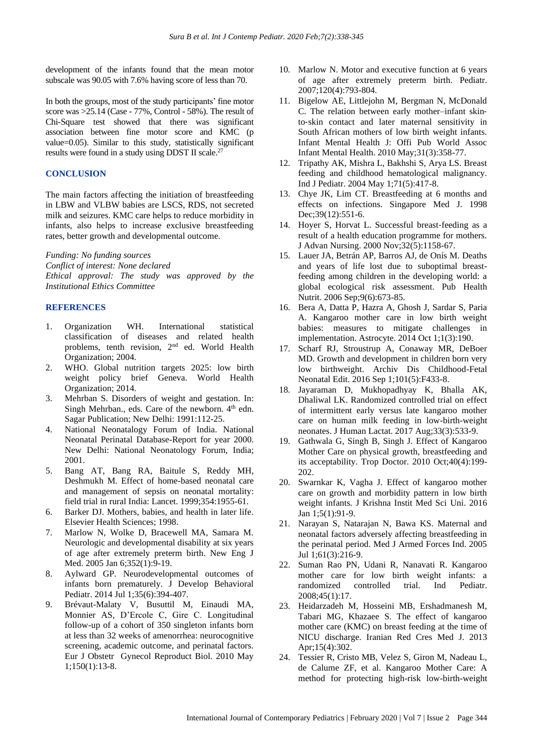development of the infants found that the mean motor subscale was 90.05 with 7.6% having score of less than 70.

In both the groups, most of the study participants' fine motor score was >25.14 (Case - 77%, Control - 58%). The result of Chi-Square test showed that there was significant association between fine motor score and KMC (p value=0.05). Similar to this study, statistically significant results were found in a study using DDST II scale.<sup>27</sup>

## **CONCLUSION**

The main factors affecting the initiation of breastfeeding in LBW and VLBW babies are LSCS, RDS, not secreted milk and seizures. KMC care helps to reduce morbidity in infants, also helps to increase exclusive breastfeeding rates, better growth and developmental outcome.

*Funding: No funding sources Conflict of interest: None declared Ethical approval: The study was approved by the Institutional Ethics Committee*

#### **REFERENCES**

- 1. Organization WH. International statistical classification of diseases and related health problems, tenth revision, 2<sup>nd</sup> ed. World Health Organization; 2004.
- 2. WHO. Global nutrition targets 2025: low birth weight policy brief Geneva. World Health Organization; 2014.
- 3. Mehrban S. Disorders of weight and gestation. In: Singh Mehrban., eds. Care of the newborn. 4<sup>th</sup> edn. Sagar Publication; New Delhi: 1991:112-25.
- 4. National Neonatalogy Forum of India. National Neonatal Perinatal Database-Report for year 2000. New Delhi: National Neonatology Forum, India; 2001.
- 5. Bang AT, Bang RA, Baitule S, Reddy MH, Deshmukh M. Effect of home-based neonatal care and management of sepsis on neonatal mortality: field trial in rural India: Lancet. 1999;354:1955-61.
- 6. Barker DJ. Mothers, babies, and health in later life. Elsevier Health Sciences; 1998.
- 7. Marlow N, Wolke D, Bracewell MA, Samara M. Neurologic and developmental disability at six years of age after extremely preterm birth. New Eng J Med. 2005 Jan 6;352(1):9-19.
- 8. Aylward GP. Neurodevelopmental outcomes of infants born prematurely. J Develop Behavioral Pediatr. 2014 Jul 1;35(6):394-407.
- 9. Brévaut-Malaty V, Busuttil M, Einaudi MA, Monnier AS, D'Ercole C, Gire C. Longitudinal follow-up of a cohort of 350 singleton infants born at less than 32 weeks of amenorrhea: neurocognitive screening, academic outcome, and perinatal factors. Eur J Obstetr Gynecol Reproduct Biol. 2010 May 1;150(1):13-8.
- 10. Marlow N. Motor and executive function at 6 years of age after extremely preterm birth. Pediatr. 2007;120(4):793-804.
- 11. Bigelow AE, Littlejohn M, Bergman N, McDonald C. The relation between early mother–infant skin‐ to‐skin contact and later maternal sensitivity in South African mothers of low birth weight infants. Infant Mental Health J: Offi Pub World Assoc Infant Mental Health. 2010 May;31(3):358-77.
- 12. Tripathy AK, Mishra L, Bakhshi S, Arya LS. Breast feeding and childhood hematological malignancy. Ind J Pediatr. 2004 May 1;71(5):417-8.
- 13. Chye JK, Lim CT. Breastfeeding at 6 months and effects on infections. Singapore Med J. 1998 Dec; 39(12): 551-6.
- 14. Hoyer S, Horvat L. Successful breast-feeding as a result of a health education programme for mothers. J Advan Nursing. 2000 Nov;32(5):1158-67.
- 15. Lauer JA, Betrán AP, Barros AJ, de Onís M. Deaths and years of life lost due to suboptimal breastfeeding among children in the developing world: a global ecological risk assessment. Pub Health Nutrit. 2006 Sep;9(6):673-85.
- 16. Bera A, Datta P, Hazra A, Ghosh J, Sardar S, Paria A. Kangaroo mother care in low birth weight babies: measures to mitigate challenges in implementation. Astrocyte. 2014 Oct 1;1(3):190.
- 17. Scharf RJ, Stroustrup A, Conaway MR, DeBoer MD. Growth and development in children born very low birthweight. Archiv Dis Childhood-Fetal Neonatal Edit. 2016 Sep 1;101(5):F433-8.
- 18. Jayaraman D, Mukhopadhyay K, Bhalla AK, Dhaliwal LK. Randomized controlled trial on effect of intermittent early versus late kangaroo mother care on human milk feeding in low-birth-weight neonates. J Human Lactat. 2017 Aug;33(3):533-9.
- 19. Gathwala G, Singh B, Singh J. Effect of Kangaroo Mother Care on physical growth, breastfeeding and its acceptability. Trop Doctor. 2010 Oct;40(4):199- 202.
- 20. Swarnkar K, Vagha J. Effect of kangaroo mother care on growth and morbidity pattern in low birth weight infants. J Krishna Instit Med Sci Uni. 2016 Jan 1;5(1):91-9.
- 21. Narayan S, Natarajan N, Bawa KS. Maternal and neonatal factors adversely affecting breastfeeding in the perinatal period. Med J Armed Forces Ind. 2005 Jul 1;61(3):216-9.
- 22. Suman Rao PN, Udani R, Nanavati R. Kangaroo mother care for low birth weight infants: a randomized controlled trial. Ind Pediatr. 2008;45(1):17.
- 23. Heidarzadeh M, Hosseini MB, Ershadmanesh M, Tabari MG, Khazaee S. The effect of kangaroo mother care (KMC) on breast feeding at the time of NICU discharge. Iranian Red Cres Med J. 2013 Apr;15(4):302.
- 24. Tessier R, Cristo MB, Velez S, Giron M, Nadeau L, de Calume ZF, et al. Kangaroo Mother Care: A method for protecting high-risk low-birth-weight